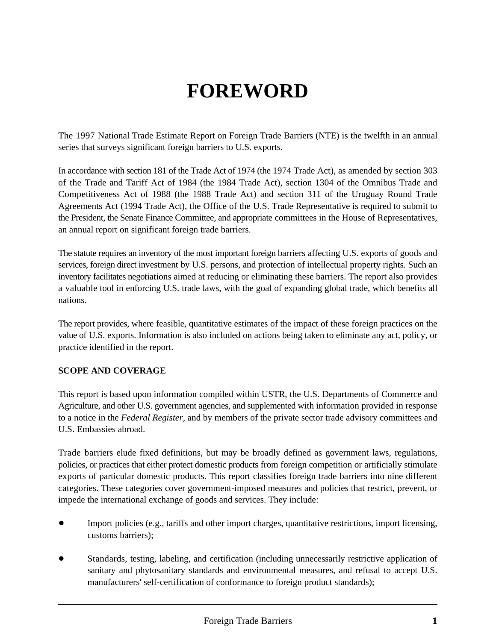# **FOREWORD**

The 1997 National Trade Estimate Report on Foreign Trade Barriers (NTE) is the twelfth in an annual series that surveys significant foreign barriers to U.S. exports.

In accordance with section 181 of the Trade Act of 1974 (the 1974 Trade Act), as amended by section 303 of the Trade and Tariff Act of 1984 (the 1984 Trade Act), section 1304 of the Omnibus Trade and Competitiveness Act of 1988 (the 1988 Trade Act) and section 311 of the Uruguay Round Trade Agreements Act (1994 Trade Act), the Office of the U.S. Trade Representative is required to submit to the President, the Senate Finance Committee, and appropriate committees in the House of Representatives, an annual report on significant foreign trade barriers.

The statute requires an inventory of the most important foreign barriers affecting U.S. exports of goods and services, foreign direct investment by U.S. persons, and protection of intellectual property rights. Such an inventory facilitates negotiations aimed at reducing or eliminating these barriers. The report also provides a valuable tool in enforcing U.S. trade laws, with the goal of expanding global trade, which benefits all nations.

The report provides, where feasible, quantitative estimates of the impact of these foreign practices on the value of U.S. exports. Information is also included on actions being taken to eliminate any act, policy, or practice identified in the report.

#### **SCOPE AND COVERAGE**

This report is based upon information compiled within USTR, the U.S. Departments of Commerce and Agriculture, and other U.S. government agencies, and supplemented with information provided in response to a notice in the *Federal Register,* and by members of the private sector trade advisory committees and U.S. Embassies abroad.

Trade barriers elude fixed definitions, but may be broadly defined as government laws, regulations, policies, or practices that either protect domestic products from foreign competition or artificially stimulate exports of particular domestic products. This report classifies foreign trade barriers into nine different categories. These categories cover government-imposed measures and policies that restrict, prevent, or impede the international exchange of goods and services. They include:

- ! Import policies (e.g., tariffs and other import charges, quantitative restrictions, import licensing, customs barriers);
- ! Standards, testing, labeling, and certification (including unnecessarily restrictive application of sanitary and phytosanitary standards and environmental measures, and refusal to accept U.S. manufacturers' self-certification of conformance to foreign product standards);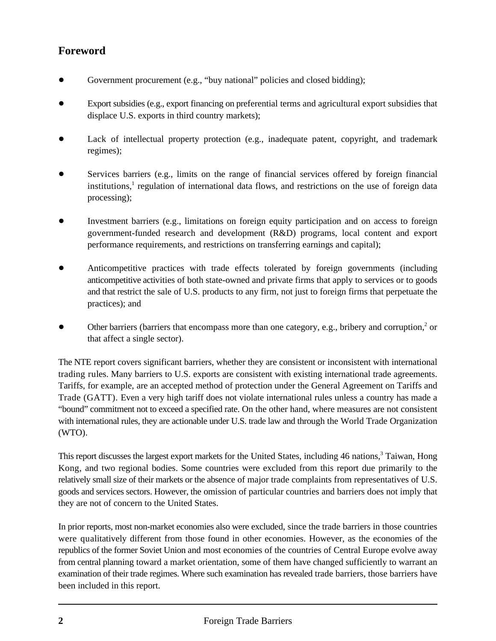## **Foreword**

- Government procurement (e.g., "buy national" policies and closed bidding);
- ! Export subsidies (e.g., export financing on preferential terms and agricultural export subsidies that displace U.S. exports in third country markets);
- Lack of intellectual property protection (e.g., inadequate patent, copyright, and trademark regimes);
- Services barriers (e.g., limits on the range of financial services offered by foreign financial institutions,<sup>1</sup> regulation of international data flows, and restrictions on the use of foreign data processing);
- ! Investment barriers (e.g., limitations on foreign equity participation and on access to foreign government-funded research and development (R&D) programs, local content and export performance requirements, and restrictions on transferring earnings and capital);
- ! Anticompetitive practices with trade effects tolerated by foreign governments (including anticompetitive activities of both state-owned and private firms that apply to services or to goods and that restrict the sale of U.S. products to any firm, not just to foreign firms that perpetuate the practices); and
- Other barriers (barriers that encompass more than one category, e.g., bribery and corruption, $\alpha$  or that affect a single sector).

The NTE report covers significant barriers, whether they are consistent or inconsistent with international trading rules. Many barriers to U.S. exports are consistent with existing international trade agreements. Tariffs, for example, are an accepted method of protection under the General Agreement on Tariffs and Trade (GATT). Even a very high tariff does not violate international rules unless a country has made a "bound" commitment not to exceed a specified rate. On the other hand, where measures are not consistent with international rules, they are actionable under U.S. trade law and through the World Trade Organization (WTO).

This report discusses the largest export markets for the United States, including 46 nations,<sup>3</sup> Taiwan, Hong Kong, and two regional bodies. Some countries were excluded from this report due primarily to the relatively small size of their markets or the absence of major trade complaints from representatives of U.S. goods and services sectors. However, the omission of particular countries and barriers does not imply that they are not of concern to the United States.

In prior reports, most non-market economies also were excluded, since the trade barriers in those countries were qualitatively different from those found in other economies. However, as the economies of the republics of the former Soviet Union and most economies of the countries of Central Europe evolve away from central planning toward a market orientation, some of them have changed sufficiently to warrant an examination of their trade regimes. Where such examination has revealed trade barriers, those barriers have been included in this report.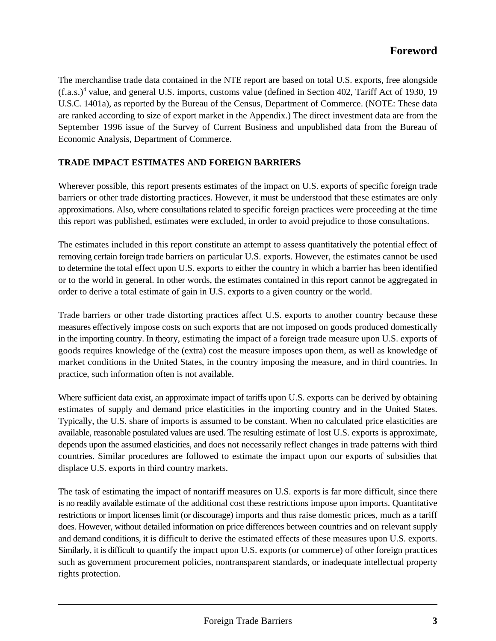The merchandise trade data contained in the NTE report are based on total U.S. exports, free alongside  $(f.a.s.)<sup>4</sup>$  value, and general U.S. imports, customs value (defined in Section 402, Tariff Act of 1930, 19 U.S.C. 1401a), as reported by the Bureau of the Census, Department of Commerce. (NOTE: These data are ranked according to size of export market in the Appendix.) The direct investment data are from the September 1996 issue of the Survey of Current Business and unpublished data from the Bureau of Economic Analysis, Department of Commerce.

#### **TRADE IMPACT ESTIMATES AND FOREIGN BARRIERS**

Wherever possible, this report presents estimates of the impact on U.S. exports of specific foreign trade barriers or other trade distorting practices. However, it must be understood that these estimates are only approximations. Also, where consultations related to specific foreign practices were proceeding at the time this report was published, estimates were excluded, in order to avoid prejudice to those consultations.

The estimates included in this report constitute an attempt to assess quantitatively the potential effect of removing certain foreign trade barriers on particular U.S. exports. However, the estimates cannot be used to determine the total effect upon U.S. exports to either the country in which a barrier has been identified or to the world in general. In other words, the estimates contained in this report cannot be aggregated in order to derive a total estimate of gain in U.S. exports to a given country or the world.

Trade barriers or other trade distorting practices affect U.S. exports to another country because these measures effectively impose costs on such exports that are not imposed on goods produced domestically in the importing country. In theory, estimating the impact of a foreign trade measure upon U.S. exports of goods requires knowledge of the (extra) cost the measure imposes upon them, as well as knowledge of market conditions in the United States, in the country imposing the measure, and in third countries. In practice, such information often is not available.

Where sufficient data exist, an approximate impact of tariffs upon U.S. exports can be derived by obtaining estimates of supply and demand price elasticities in the importing country and in the United States. Typically, the U.S. share of imports is assumed to be constant. When no calculated price elasticities are available, reasonable postulated values are used. The resulting estimate of lost U.S. exports is approximate, depends upon the assumed elasticities, and does not necessarily reflect changes in trade patterns with third countries. Similar procedures are followed to estimate the impact upon our exports of subsidies that displace U.S. exports in third country markets.

The task of estimating the impact of nontariff measures on U.S. exports is far more difficult, since there is no readily available estimate of the additional cost these restrictions impose upon imports. Quantitative restrictions or import licenses limit (or discourage) imports and thus raise domestic prices, much as a tariff does. However, without detailed information on price differences between countries and on relevant supply and demand conditions, it is difficult to derive the estimated effects of these measures upon U.S. exports. Similarly, it is difficult to quantify the impact upon U.S. exports (or commerce) of other foreign practices such as government procurement policies, nontransparent standards, or inadequate intellectual property rights protection.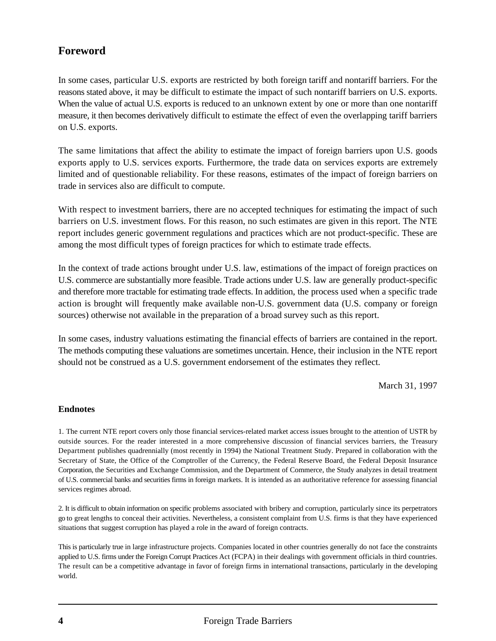### **Foreword**

In some cases, particular U.S. exports are restricted by both foreign tariff and nontariff barriers. For the reasons stated above, it may be difficult to estimate the impact of such nontariff barriers on U.S. exports. When the value of actual U.S. exports is reduced to an unknown extent by one or more than one nontariff measure, it then becomes derivatively difficult to estimate the effect of even the overlapping tariff barriers on U.S. exports.

The same limitations that affect the ability to estimate the impact of foreign barriers upon U.S. goods exports apply to U.S. services exports. Furthermore, the trade data on services exports are extremely limited and of questionable reliability. For these reasons, estimates of the impact of foreign barriers on trade in services also are difficult to compute.

With respect to investment barriers, there are no accepted techniques for estimating the impact of such barriers on U.S. investment flows. For this reason, no such estimates are given in this report. The NTE report includes generic government regulations and practices which are not product-specific. These are among the most difficult types of foreign practices for which to estimate trade effects.

In the context of trade actions brought under U.S. law, estimations of the impact of foreign practices on U.S. commerce are substantially more feasible. Trade actions under U.S. law are generally product-specific and therefore more tractable for estimating trade effects. In addition, the process used when a specific trade action is brought will frequently make available non-U.S. government data (U.S. company or foreign sources) otherwise not available in the preparation of a broad survey such as this report.

In some cases, industry valuations estimating the financial effects of barriers are contained in the report. The methods computing these valuations are sometimes uncertain. Hence, their inclusion in the NTE report should not be construed as a U.S. government endorsement of the estimates they reflect.

March 31, 1997

#### **Endnotes**

1. The current NTE report covers only those financial services-related market access issues brought to the attention of USTR by outside sources. For the reader interested in a more comprehensive discussion of financial services barriers, the Treasury Department publishes quadrennially (most recently in 1994) the National Treatment Study. Prepared in collaboration with the Secretary of State, the Office of the Comptroller of the Currency, the Federal Reserve Board, the Federal Deposit Insurance Corporation, the Securities and Exchange Commission, and the Department of Commerce, the Study analyzes in detail treatment of U.S. commercial banks and securities firms in foreign markets. It is intended as an authoritative reference for assessing financial services regimes abroad.

2. It is difficult to obtain information on specific problems associated with bribery and corruption, particularly since its perpetrators go to great lengths to conceal their activities. Nevertheless, a consistent complaint from U.S. firms is that they have experienced situations that suggest corruption has played a role in the award of foreign contracts.

This is particularly true in large infrastructure projects. Companies located in other countries generally do not face the constraints applied to U.S. firms under the Foreign Corrupt Practices Act (FCPA) in their dealings with government officials in third countries. The result can be a competitive advantage in favor of foreign firms in international transactions, particularly in the developing world.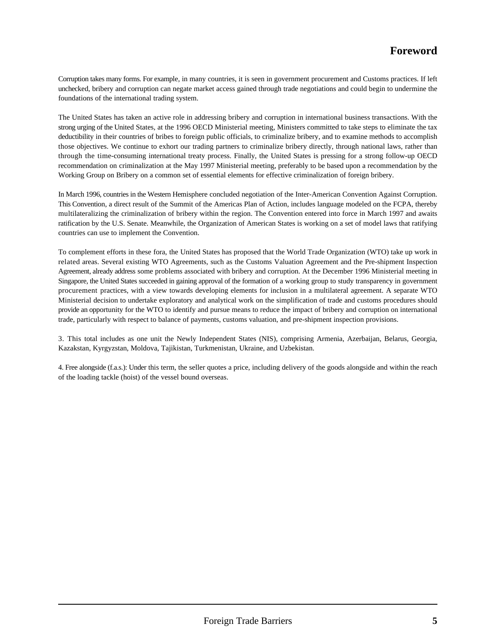Corruption takes many forms. For example, in many countries, it is seen in government procurement and Customs practices. If left unchecked, bribery and corruption can negate market access gained through trade negotiations and could begin to undermine the foundations of the international trading system.

The United States has taken an active role in addressing bribery and corruption in international business transactions. With the strong urging of the United States, at the 1996 OECD Ministerial meeting, Ministers committed to take steps to eliminate the tax deductibility in their countries of bribes to foreign public officials, to criminalize bribery, and to examine methods to accomplish those objectives. We continue to exhort our trading partners to criminalize bribery directly, through national laws, rather than through the time-consuming international treaty process. Finally, the United States is pressing for a strong follow-up OECD recommendation on criminalization at the May 1997 Ministerial meeting, preferably to be based upon a recommendation by the Working Group on Bribery on a common set of essential elements for effective criminalization of foreign bribery.

In March 1996, countries in the Western Hemisphere concluded negotiation of the Inter-American Convention Against Corruption. This Convention, a direct result of the Summit of the Americas Plan of Action, includes language modeled on the FCPA, thereby multilateralizing the criminalization of bribery within the region. The Convention entered into force in March 1997 and awaits ratification by the U.S. Senate. Meanwhile, the Organization of American States is working on a set of model laws that ratifying countries can use to implement the Convention.

To complement efforts in these fora, the United States has proposed that the World Trade Organization (WTO) take up work in related areas. Several existing WTO Agreements, such as the Customs Valuation Agreement and the Pre-shipment Inspection Agreement, already address some problems associated with bribery and corruption. At the December 1996 Ministerial meeting in Singapore, the United States succeeded in gaining approval of the formation of a working group to study transparency in government procurement practices, with a view towards developing elements for inclusion in a multilateral agreement. A separate WTO Ministerial decision to undertake exploratory and analytical work on the simplification of trade and customs procedures should provide an opportunity for the WTO to identify and pursue means to reduce the impact of bribery and corruption on international trade, particularly with respect to balance of payments, customs valuation, and pre-shipment inspection provisions.

3. This total includes as one unit the Newly Independent States (NIS), comprising Armenia, Azerbaijan, Belarus, Georgia, Kazakstan, Kyrgyzstan, Moldova, Tajikistan, Turkmenistan, Ukraine, and Uzbekistan.

4. Free alongside (f.a.s.): Under this term, the seller quotes a price, including delivery of the goods alongside and within the reach of the loading tackle (hoist) of the vessel bound overseas.